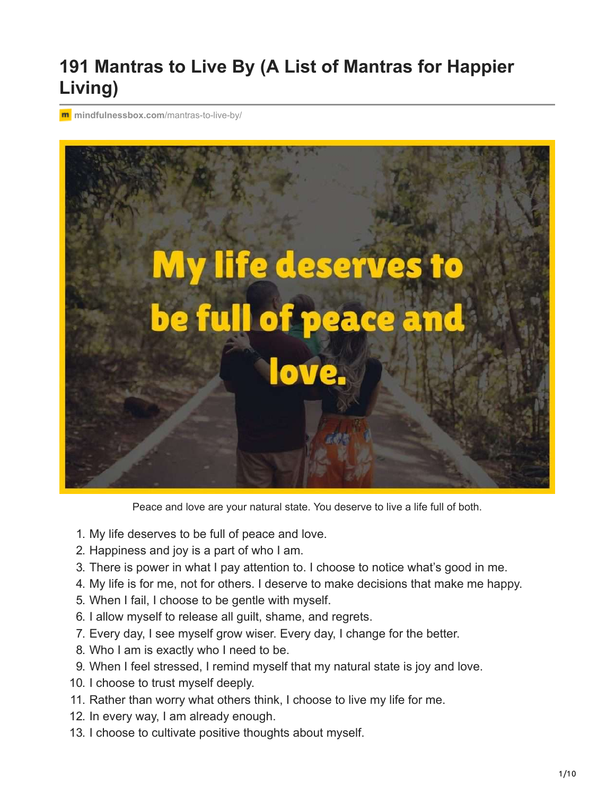## **191 Mantras to Live By (A List of Mantras for Happier Living)**

**m** [mindfulnessbox.com](https://mindfulnessbox.com/mantras-to-live-by/)/mantras-to-live-by/



Peace and love are your natural state. You deserve to live a life full of both.

- 1. My life deserves to be full of peace and love.
- 2. Happiness and joy is a part of who I am.
- 3. There is power in what I pay attention to. I choose to notice what's good in me.
- 4. My life is for me, not for others. I deserve to make decisions that make me happy.
- 5. When I fail, I choose to be gentle with myself.
- 6. I allow myself to release all guilt, shame, and regrets.
- 7. Every day, I see myself grow wiser. Every day, I change for the better.
- 8. Who I am is exactly who I need to be.
- 9. When I feel stressed, I remind myself that my natural state is joy and love.
- 10. I choose to trust myself deeply.
- 11. Rather than worry what others think, I choose to live my life for me.
- 12. In every way, I am already enough.
- 13. I choose to cultivate positive thoughts about myself.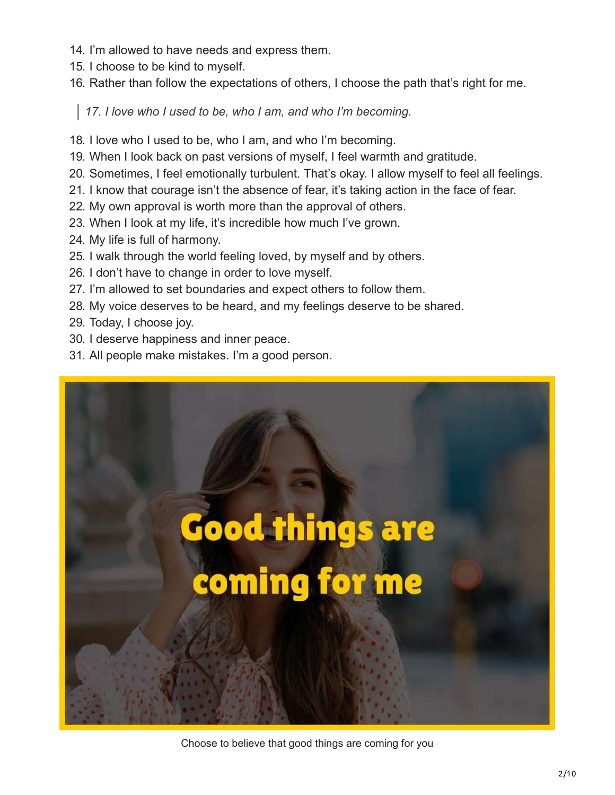- 14. I'm allowed to have needs and express them.
- 15. I choose to be kind to myself.
- 16. Rather than follow the expectations of others, I choose the path that's right for me.

*17. I love who I used to be, who I am, and who I'm becoming.*

- 18. I love who I used to be, who I am, and who I'm becoming.
- 19. When I look back on past versions of myself, I feel warmth and gratitude.
- 20. Sometimes, I feel emotionally turbulent. That's okay. I allow myself to feel all feelings.
- 21. I know that courage isn't the absence of fear, it's taking action in the face of fear.
- 22. My own approval is worth more than the approval of others.
- 23. When I look at my life, it's incredible how much I've grown.
- 24. My life is full of harmony.
- 25. I walk through the world feeling loved, by myself and by others.
- 26. I don't have to change in order to love myself.
- 27. I'm allowed to set boundaries and expect others to follow them.
- 28. My voice deserves to be heard, and my feelings deserve to be shared.
- 29. Today, I choose joy.
- 30. I deserve happiness and inner peace.
- 31. All people make mistakes. I'm a good person.



Choose to believe that good things are coming for you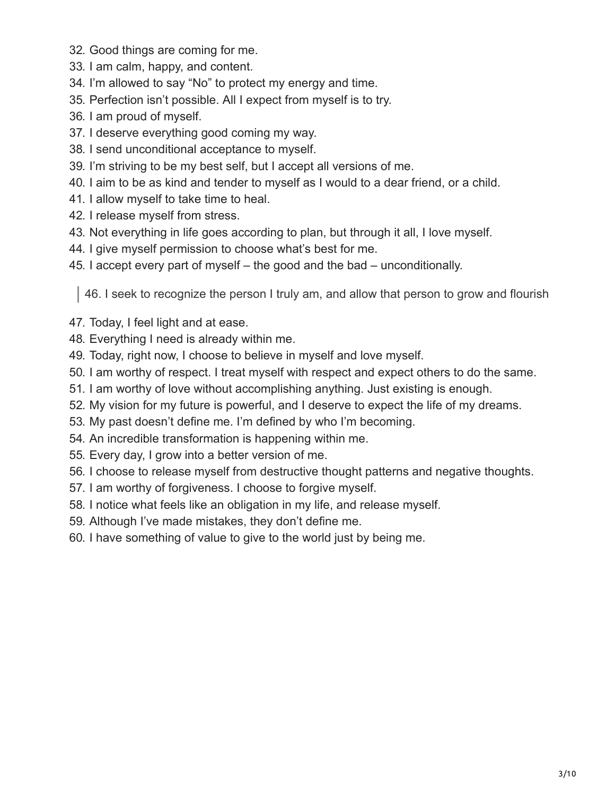- 32. Good things are coming for me.
- 33. I am calm, happy, and content.
- 34. I'm allowed to say "No" to protect my energy and time.
- 35. Perfection isn't possible. All I expect from myself is to try.
- 36. I am proud of myself.
- 37. I deserve everything good coming my way.
- 38. I send unconditional acceptance to myself.
- 39. I'm striving to be my best self, but I accept all versions of me.
- 40. I aim to be as kind and tender to myself as I would to a dear friend, or a child.
- 41. I allow myself to take time to heal.
- 42. I release myself from stress.
- 43. Not everything in life goes according to plan, but through it all, I love myself.
- 44. I give myself permission to choose what's best for me.
- 45. I accept every part of myself the good and the bad unconditionally.

46. I seek to recognize the person I truly am, and allow that person to grow and flourish

- 47. Today, I feel light and at ease.
- 48. Everything I need is already within me.
- 49. Today, right now, I choose to believe in myself and love myself.
- 50. I am worthy of respect. I treat myself with respect and expect others to do the same.
- 51. I am worthy of love without accomplishing anything. Just existing is enough.
- 52. My vision for my future is powerful, and I deserve to expect the life of my dreams.
- 53. My past doesn't define me. I'm defined by who I'm becoming.
- 54. An incredible transformation is happening within me.
- 55. Every day, I grow into a better version of me.
- 56. I choose to release myself from destructive thought patterns and negative thoughts.
- 57. I am worthy of forgiveness. I choose to forgive myself.
- 58. I notice what feels like an obligation in my life, and release myself.
- 59. Although I've made mistakes, they don't define me.
- 60. I have something of value to give to the world just by being me.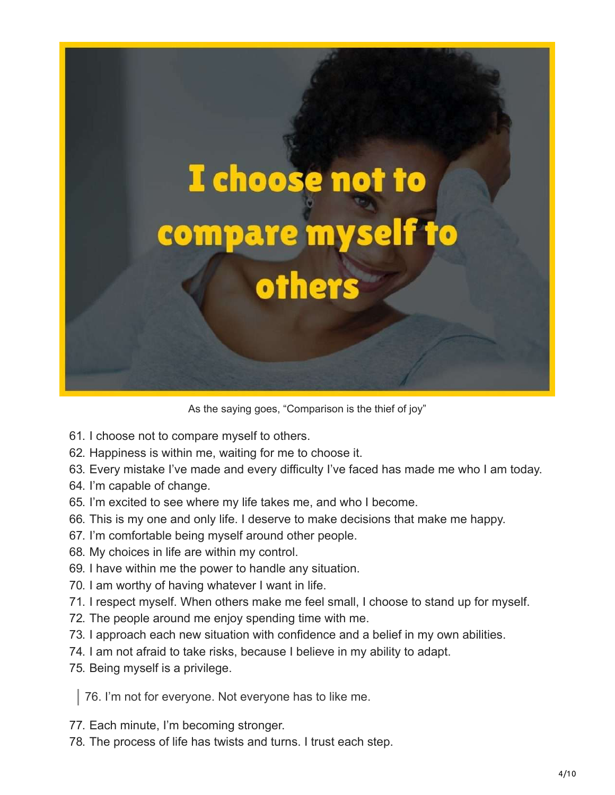

As the saying goes, "Comparison is the thief of joy"

- 61. I choose not to compare myself to others.
- 62. Happiness is within me, waiting for me to choose it.
- 63. Every mistake I've made and every difficulty I've faced has made me who I am today.
- 64. I'm capable of change.
- 65. I'm excited to see where my life takes me, and who I become.
- 66. This is my one and only life. I deserve to make decisions that make me happy.
- 67. I'm comfortable being myself around other people.
- 68. My choices in life are within my control.
- 69. I have within me the power to handle any situation.
- 70. I am worthy of having whatever I want in life.
- 71. I respect myself. When others make me feel small, I choose to stand up for myself.
- 72. The people around me enjoy spending time with me.
- 73. I approach each new situation with confidence and a belief in my own abilities.
- 74. I am not afraid to take risks, because I believe in my ability to adapt.
- 75. Being myself is a privilege.

76. I'm not for everyone. Not everyone has to like me.

- 77. Each minute, I'm becoming stronger.
- 78. The process of life has twists and turns. I trust each step.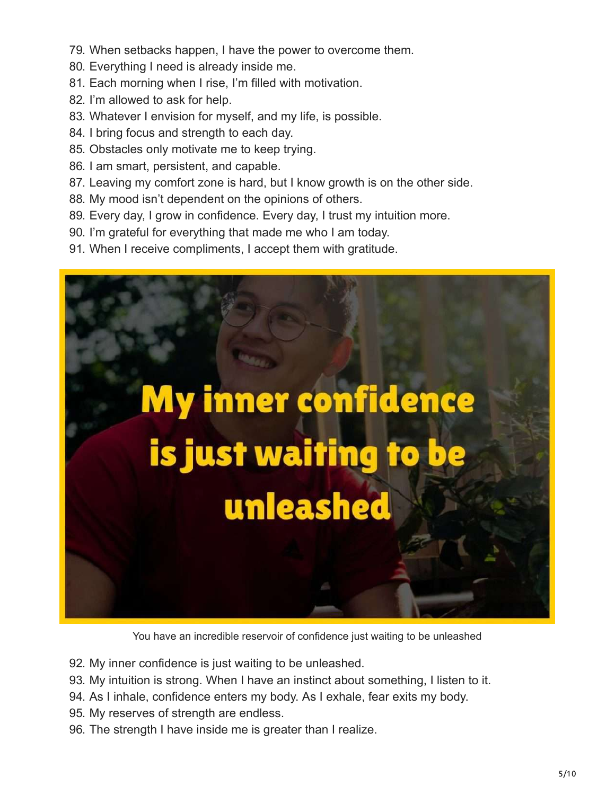- 79. When setbacks happen, I have the power to overcome them.
- 80. Everything I need is already inside me.
- 81. Each morning when I rise, I'm filled with motivation.
- 82. I'm allowed to ask for help.
- 83. Whatever I envision for myself, and my life, is possible.
- 84. I bring focus and strength to each day.
- 85. Obstacles only motivate me to keep trying.
- 86. I am smart, persistent, and capable.
- 87. Leaving my comfort zone is hard, but I know growth is on the other side.
- 88. My mood isn't dependent on the opinions of others.
- 89. Every day, I grow in confidence. Every day, I trust my intuition more.
- 90. I'm grateful for everything that made me who I am today.
- 91. When I receive compliments, I accept them with gratitude.



You have an incredible reservoir of confidence just waiting to be unleashed

- 92. My inner confidence is just waiting to be unleashed.
- 93. My intuition is strong. When I have an instinct about something, I listen to it.
- 94. As I inhale, confidence enters my body. As I exhale, fear exits my body.
- 95. My reserves of strength are endless.
- 96. The strength I have inside me is greater than I realize.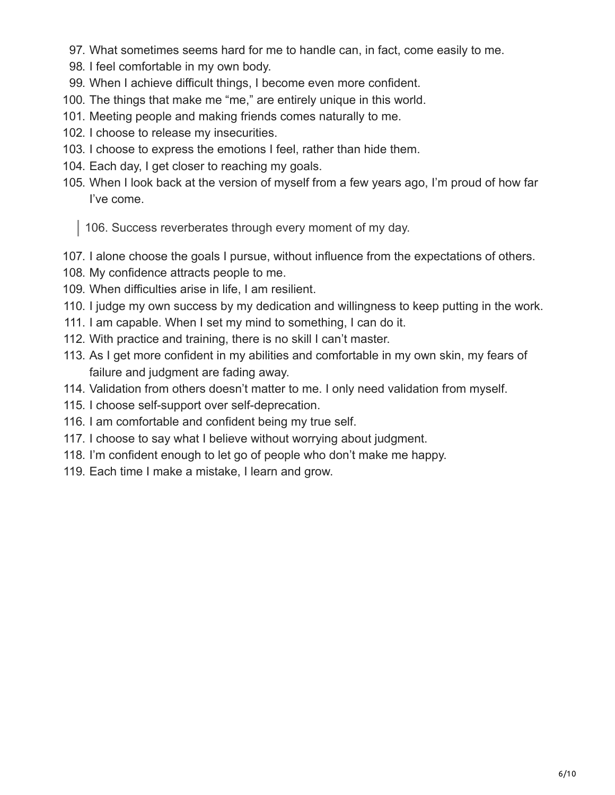- 97. What sometimes seems hard for me to handle can, in fact, come easily to me.
- 98. I feel comfortable in my own body.
- 99. When I achieve difficult things, I become even more confident.
- 100. The things that make me "me," are entirely unique in this world.
- 101. Meeting people and making friends comes naturally to me.
- 102. I choose to release my insecurities.
- 103. I choose to express the emotions I feel, rather than hide them.
- 104. Each day, I get closer to reaching my goals.
- 105. When I look back at the version of myself from a few years ago, I'm proud of how far I've come.

106. Success reverberates through every moment of my day.

- 107. I alone choose the goals I pursue, without influence from the expectations of others.
- 108. My confidence attracts people to me.
- 109. When difficulties arise in life, I am resilient.
- 110. I judge my own success by my dedication and willingness to keep putting in the work.
- 111. I am capable. When I set my mind to something, I can do it.
- 112. With practice and training, there is no skill I can't master.
- 113. As I get more confident in my abilities and comfortable in my own skin, my fears of failure and judgment are fading away.
- 114. Validation from others doesn't matter to me. I only need validation from myself.
- 115. I choose self-support over self-deprecation.
- 116. I am comfortable and confident being my true self.
- 117. I choose to say what I believe without worrying about judgment.
- 118. I'm confident enough to let go of people who don't make me happy.
- 119. Each time I make a mistake, I learn and grow.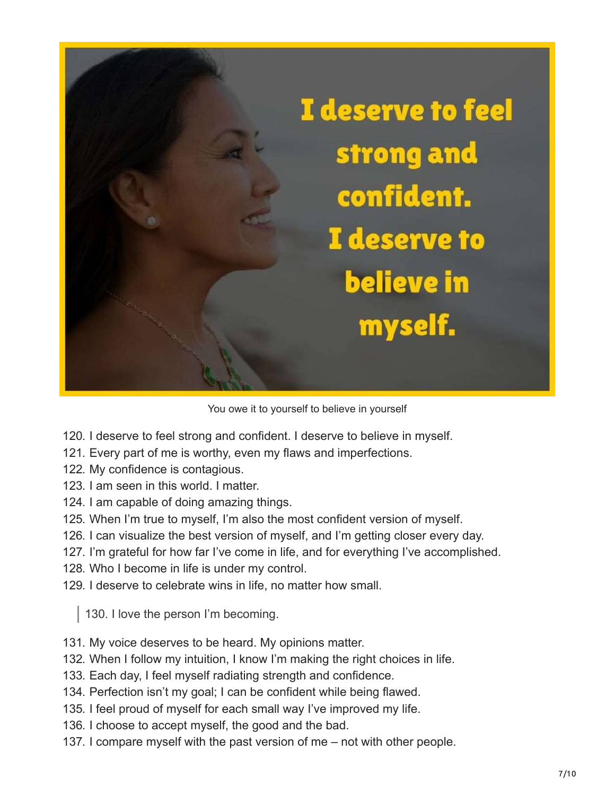

You owe it to yourself to believe in yourself

- 120. I deserve to feel strong and confident. I deserve to believe in myself.
- 121. Every part of me is worthy, even my flaws and imperfections.
- 122. My confidence is contagious.
- 123. I am seen in this world. I matter.
- 124. I am capable of doing amazing things.
- 125. When I'm true to myself, I'm also the most confident version of myself.
- 126. I can visualize the best version of myself, and I'm getting closer every day.
- 127. I'm grateful for how far I've come in life, and for everything I've accomplished.
- 128. Who I become in life is under my control.
- 129. I deserve to celebrate wins in life, no matter how small.

130. I love the person I'm becoming.

- 131. My voice deserves to be heard. My opinions matter.
- 132. When I follow my intuition, I know I'm making the right choices in life.
- 133. Each day, I feel myself radiating strength and confidence.
- 134. Perfection isn't my goal; I can be confident while being flawed.
- 135. I feel proud of myself for each small way I've improved my life.
- 136. I choose to accept myself, the good and the bad.
- 137. I compare myself with the past version of me not with other people.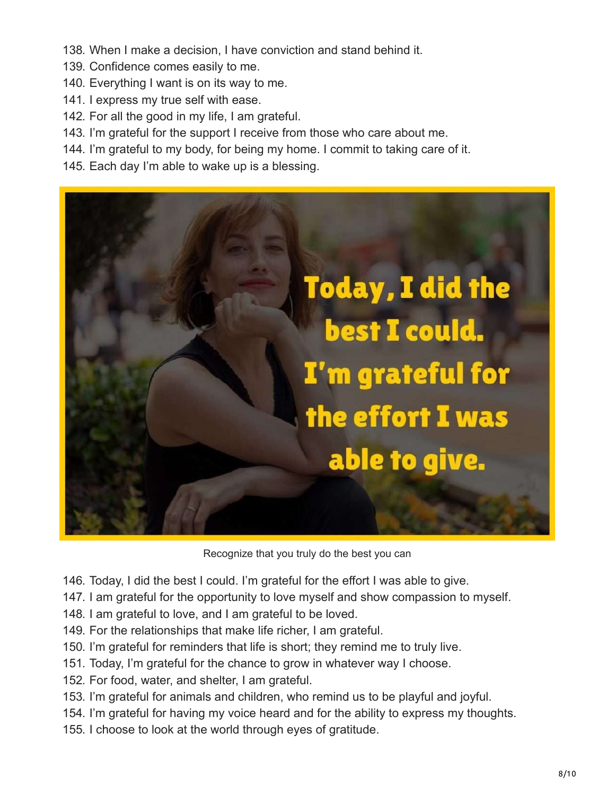- 138. When I make a decision, I have conviction and stand behind it.
- 139. Confidence comes easily to me.
- 140. Everything I want is on its way to me.
- 141. I express my true self with ease.
- 142. For all the good in my life, I am grateful.
- 143. I'm grateful for the support I receive from those who care about me.
- 144. I'm grateful to my body, for being my home. I commit to taking care of it.
- 145. Each day I'm able to wake up is a blessing.



Recognize that you truly do the best you can

- 146. Today, I did the best I could. I'm grateful for the effort I was able to give.
- 147. I am grateful for the opportunity to love myself and show compassion to myself.
- 148. I am grateful to love, and I am grateful to be loved.
- 149. For the relationships that make life richer, I am grateful.
- 150. I'm grateful for reminders that life is short; they remind me to truly live.
- 151. Today, I'm grateful for the chance to grow in whatever way I choose.
- 152. For food, water, and shelter, I am grateful.
- 153. I'm grateful for animals and children, who remind us to be playful and joyful.
- 154. I'm grateful for having my voice heard and for the ability to express my thoughts.
- 155. I choose to look at the world through eyes of gratitude.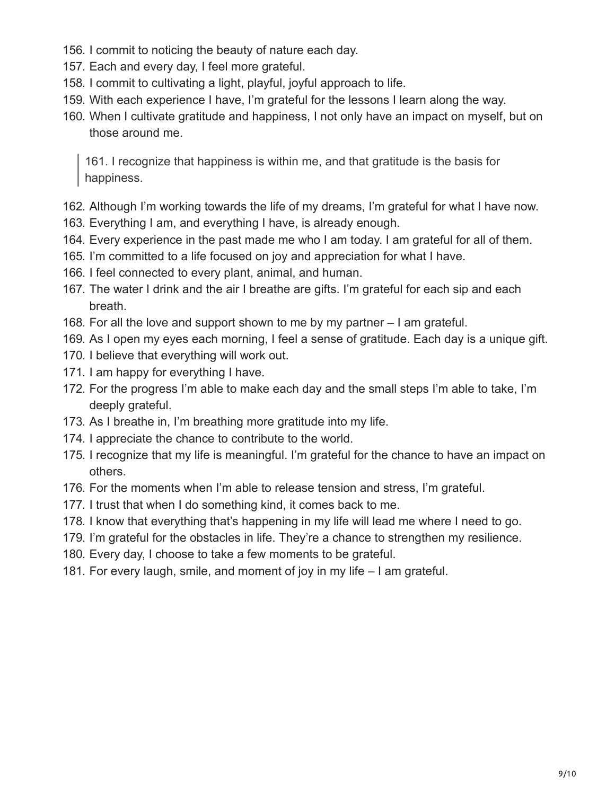- 156. I commit to noticing the beauty of nature each day.
- 157. Each and every day, I feel more grateful.
- 158. I commit to cultivating a light, playful, joyful approach to life.
- 159. With each experience I have, I'm grateful for the lessons I learn along the way.
- 160. When I cultivate gratitude and happiness, I not only have an impact on myself, but on those around me.

161. I recognize that happiness is within me, and that gratitude is the basis for happiness.

- 162. Although I'm working towards the life of my dreams, I'm grateful for what I have now.
- 163. Everything I am, and everything I have, is already enough.
- 164. Every experience in the past made me who I am today. I am grateful for all of them.
- 165. I'm committed to a life focused on joy and appreciation for what I have.
- 166. I feel connected to every plant, animal, and human.
- 167. The water I drink and the air I breathe are gifts. I'm grateful for each sip and each breath.
- 168. For all the love and support shown to me by my partner I am grateful.
- 169. As I open my eyes each morning, I feel a sense of gratitude. Each day is a unique gift.
- 170. I believe that everything will work out.
- 171. I am happy for everything I have.
- 172. For the progress I'm able to make each day and the small steps I'm able to take, I'm deeply grateful.
- 173. As I breathe in, I'm breathing more gratitude into my life.
- 174. I appreciate the chance to contribute to the world.
- 175. I recognize that my life is meaningful. I'm grateful for the chance to have an impact on others.
- 176. For the moments when I'm able to release tension and stress, I'm grateful.
- 177. I trust that when I do something kind, it comes back to me.
- 178. I know that everything that's happening in my life will lead me where I need to go.
- 179. I'm grateful for the obstacles in life. They're a chance to strengthen my resilience.
- 180. Every day, I choose to take a few moments to be grateful.
- 181. For every laugh, smile, and moment of joy in my life I am grateful.